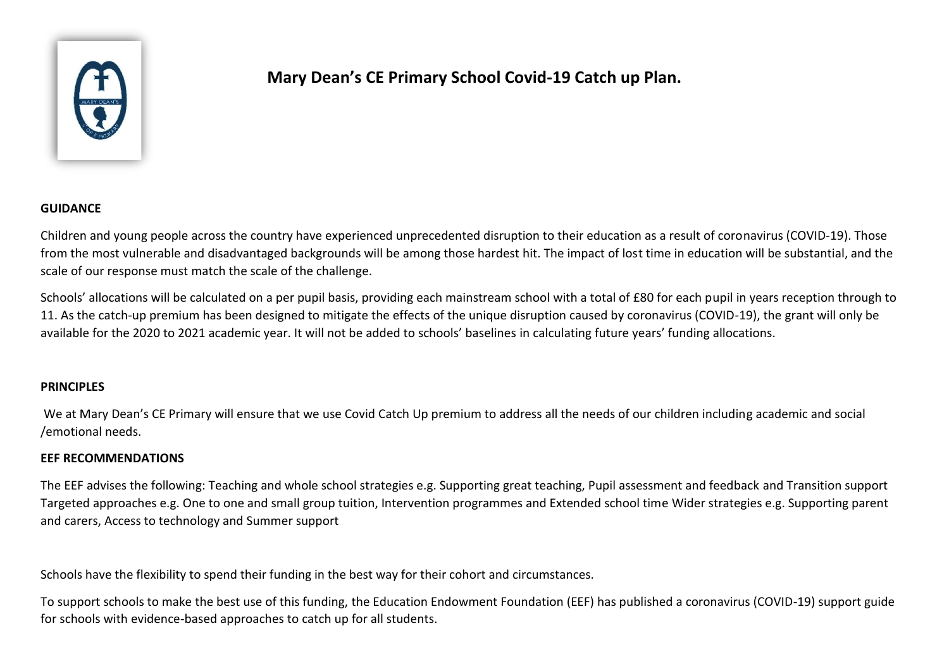

# **Mary Dean's CE Primary School Covid-19 Catch up Plan.**

### **GUIDANCE**

Children and young people across the country have experienced unprecedented disruption to their education as a result of coronavirus (COVID-19). Those from the most vulnerable and disadvantaged backgrounds will be among those hardest hit. The impact of lost time in education will be substantial, and the scale of our response must match the scale of the challenge.

Schools' allocations will be calculated on a per pupil basis, providing each mainstream school with a total of £80 for each pupil in years reception through to 11. As the catch-up premium has been designed to mitigate the effects of the unique disruption caused by coronavirus (COVID-19), the grant will only be available for the 2020 to 2021 academic year. It will not be added to schools' baselines in calculating future years' funding allocations.

#### **PRINCIPLES**

We at Mary Dean's CE Primary will ensure that we use Covid Catch Up premium to address all the needs of our children including academic and social /emotional needs.

#### **EEF RECOMMENDATIONS**

The EEF advises the following: Teaching and whole school strategies e.g. Supporting great teaching, Pupil assessment and feedback and Transition support Targeted approaches e.g. One to one and small group tuition, Intervention programmes and Extended school time Wider strategies e.g. Supporting parent and carers, Access to technology and Summer support

Schools have the flexibility to spend their funding in the best way for their cohort and circumstances.

To support schools to make the best use of this funding, the Education Endowment Foundation (EEF) has published a coronavirus (COVID-19) support guide for schools with evidence-based approaches to catch up for all students.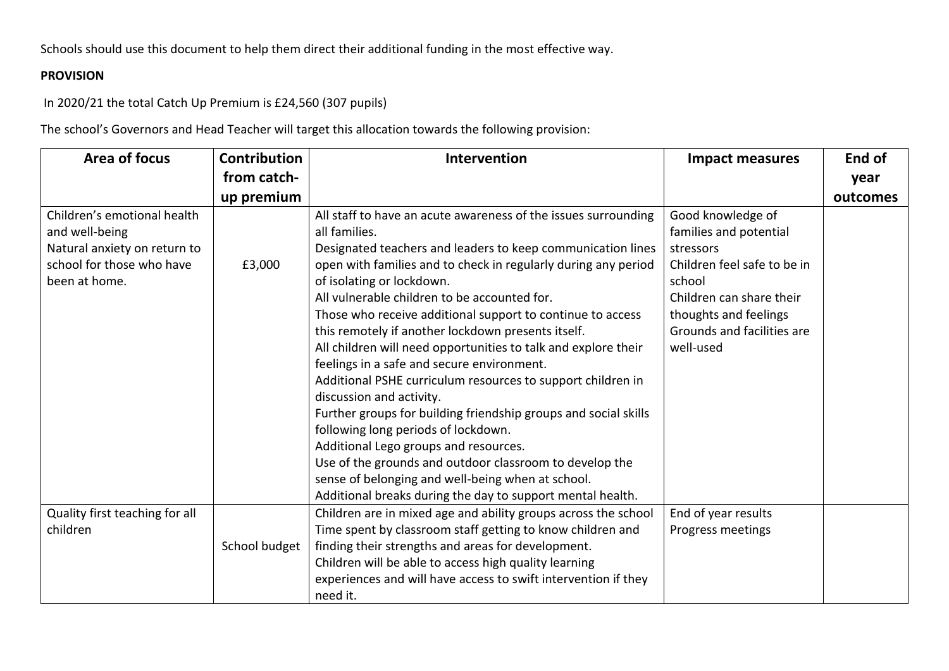Schools should use this document to help them direct their additional funding in the most effective way.

## **PROVISION**

In 2020/21 the total Catch Up Premium is £24,560 (307 pupils)

The school's Governors and Head Teacher will target this allocation towards the following provision:

| Area of focus                                                                                                               | Contribution  | Intervention                                                                                                                                                                                                                                                                                                                                                                                                                                                                                                                                                                                                                                                                                                                                                                                                                                                                                    | <b>Impact measures</b>                                                                                                                                                                            | End of   |
|-----------------------------------------------------------------------------------------------------------------------------|---------------|-------------------------------------------------------------------------------------------------------------------------------------------------------------------------------------------------------------------------------------------------------------------------------------------------------------------------------------------------------------------------------------------------------------------------------------------------------------------------------------------------------------------------------------------------------------------------------------------------------------------------------------------------------------------------------------------------------------------------------------------------------------------------------------------------------------------------------------------------------------------------------------------------|---------------------------------------------------------------------------------------------------------------------------------------------------------------------------------------------------|----------|
|                                                                                                                             | from catch-   |                                                                                                                                                                                                                                                                                                                                                                                                                                                                                                                                                                                                                                                                                                                                                                                                                                                                                                 |                                                                                                                                                                                                   | year     |
|                                                                                                                             | up premium    |                                                                                                                                                                                                                                                                                                                                                                                                                                                                                                                                                                                                                                                                                                                                                                                                                                                                                                 |                                                                                                                                                                                                   | outcomes |
| Children's emotional health<br>and well-being<br>Natural anxiety on return to<br>school for those who have<br>been at home. | £3,000        | All staff to have an acute awareness of the issues surrounding<br>all families.<br>Designated teachers and leaders to keep communication lines<br>open with families and to check in regularly during any period<br>of isolating or lockdown.<br>All vulnerable children to be accounted for.<br>Those who receive additional support to continue to access<br>this remotely if another lockdown presents itself.<br>All children will need opportunities to talk and explore their<br>feelings in a safe and secure environment.<br>Additional PSHE curriculum resources to support children in<br>discussion and activity.<br>Further groups for building friendship groups and social skills<br>following long periods of lockdown.<br>Additional Lego groups and resources.<br>Use of the grounds and outdoor classroom to develop the<br>sense of belonging and well-being when at school. | Good knowledge of<br>families and potential<br>stressors<br>Children feel safe to be in<br>school<br>Children can share their<br>thoughts and feelings<br>Grounds and facilities are<br>well-used |          |
|                                                                                                                             |               | Additional breaks during the day to support mental health.                                                                                                                                                                                                                                                                                                                                                                                                                                                                                                                                                                                                                                                                                                                                                                                                                                      |                                                                                                                                                                                                   |          |
| Quality first teaching for all                                                                                              |               | Children are in mixed age and ability groups across the school                                                                                                                                                                                                                                                                                                                                                                                                                                                                                                                                                                                                                                                                                                                                                                                                                                  | End of year results                                                                                                                                                                               |          |
| children                                                                                                                    |               | Time spent by classroom staff getting to know children and                                                                                                                                                                                                                                                                                                                                                                                                                                                                                                                                                                                                                                                                                                                                                                                                                                      | Progress meetings                                                                                                                                                                                 |          |
|                                                                                                                             | School budget | finding their strengths and areas for development.                                                                                                                                                                                                                                                                                                                                                                                                                                                                                                                                                                                                                                                                                                                                                                                                                                              |                                                                                                                                                                                                   |          |
|                                                                                                                             |               | Children will be able to access high quality learning                                                                                                                                                                                                                                                                                                                                                                                                                                                                                                                                                                                                                                                                                                                                                                                                                                           |                                                                                                                                                                                                   |          |
|                                                                                                                             |               | experiences and will have access to swift intervention if they                                                                                                                                                                                                                                                                                                                                                                                                                                                                                                                                                                                                                                                                                                                                                                                                                                  |                                                                                                                                                                                                   |          |
|                                                                                                                             |               | need it.                                                                                                                                                                                                                                                                                                                                                                                                                                                                                                                                                                                                                                                                                                                                                                                                                                                                                        |                                                                                                                                                                                                   |          |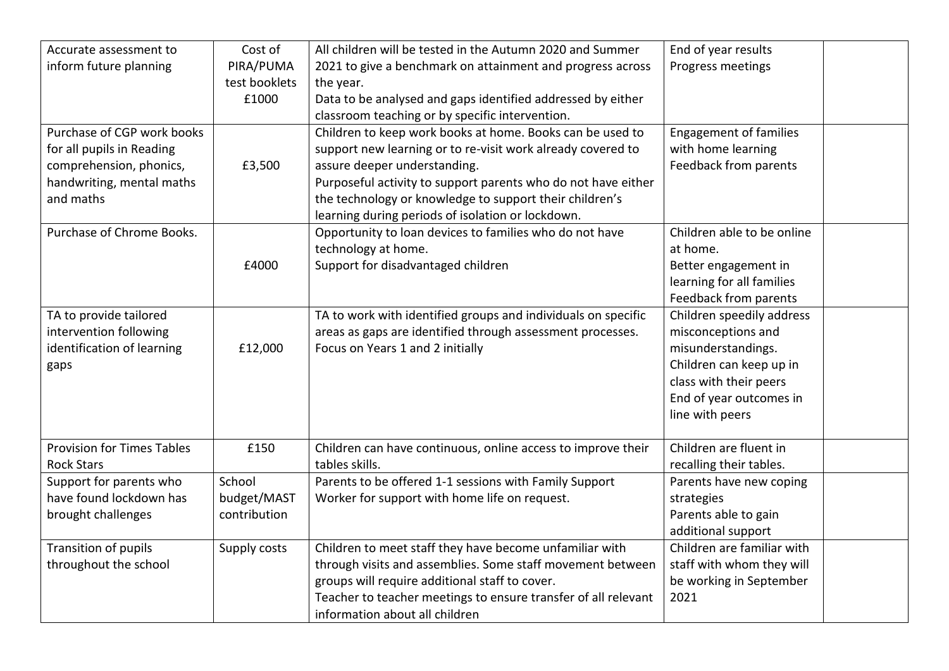| Accurate assessment to            | Cost of       | All children will be tested in the Autumn 2020 and Summer      | End of year results           |  |
|-----------------------------------|---------------|----------------------------------------------------------------|-------------------------------|--|
| inform future planning            | PIRA/PUMA     | 2021 to give a benchmark on attainment and progress across     | Progress meetings             |  |
|                                   | test booklets | the year.                                                      |                               |  |
|                                   | £1000         | Data to be analysed and gaps identified addressed by either    |                               |  |
|                                   |               | classroom teaching or by specific intervention.                |                               |  |
| Purchase of CGP work books        |               | Children to keep work books at home. Books can be used to      | <b>Engagement of families</b> |  |
| for all pupils in Reading         |               | support new learning or to re-visit work already covered to    | with home learning            |  |
| comprehension, phonics,           | £3,500        | assure deeper understanding.                                   | Feedback from parents         |  |
| handwriting, mental maths         |               | Purposeful activity to support parents who do not have either  |                               |  |
| and maths                         |               | the technology or knowledge to support their children's        |                               |  |
|                                   |               | learning during periods of isolation or lockdown.              |                               |  |
| Purchase of Chrome Books.         |               | Opportunity to loan devices to families who do not have        | Children able to be online    |  |
|                                   |               | technology at home.                                            | at home.                      |  |
|                                   | £4000         | Support for disadvantaged children                             | Better engagement in          |  |
|                                   |               |                                                                | learning for all families     |  |
|                                   |               |                                                                | <b>Feedback from parents</b>  |  |
| TA to provide tailored            |               | TA to work with identified groups and individuals on specific  | Children speedily address     |  |
| intervention following            |               | areas as gaps are identified through assessment processes.     | misconceptions and            |  |
| identification of learning        | £12,000       | Focus on Years 1 and 2 initially                               | misunderstandings.            |  |
| gaps                              |               |                                                                | Children can keep up in       |  |
|                                   |               |                                                                | class with their peers        |  |
|                                   |               |                                                                | End of year outcomes in       |  |
|                                   |               |                                                                | line with peers               |  |
|                                   |               |                                                                |                               |  |
| <b>Provision for Times Tables</b> | £150          | Children can have continuous, online access to improve their   | Children are fluent in        |  |
| <b>Rock Stars</b>                 |               | tables skills.                                                 | recalling their tables.       |  |
| Support for parents who           | School        | Parents to be offered 1-1 sessions with Family Support         | Parents have new coping       |  |
| have found lockdown has           | budget/MAST   | Worker for support with home life on request.                  | strategies                    |  |
| brought challenges                | contribution  |                                                                | Parents able to gain          |  |
|                                   |               |                                                                | additional support            |  |
| Transition of pupils              | Supply costs  | Children to meet staff they have become unfamiliar with        | Children are familiar with    |  |
| throughout the school             |               | through visits and assemblies. Some staff movement between     | staff with whom they will     |  |
|                                   |               | groups will require additional staff to cover.                 | be working in September       |  |
|                                   |               | Teacher to teacher meetings to ensure transfer of all relevant | 2021                          |  |
|                                   |               | information about all children                                 |                               |  |